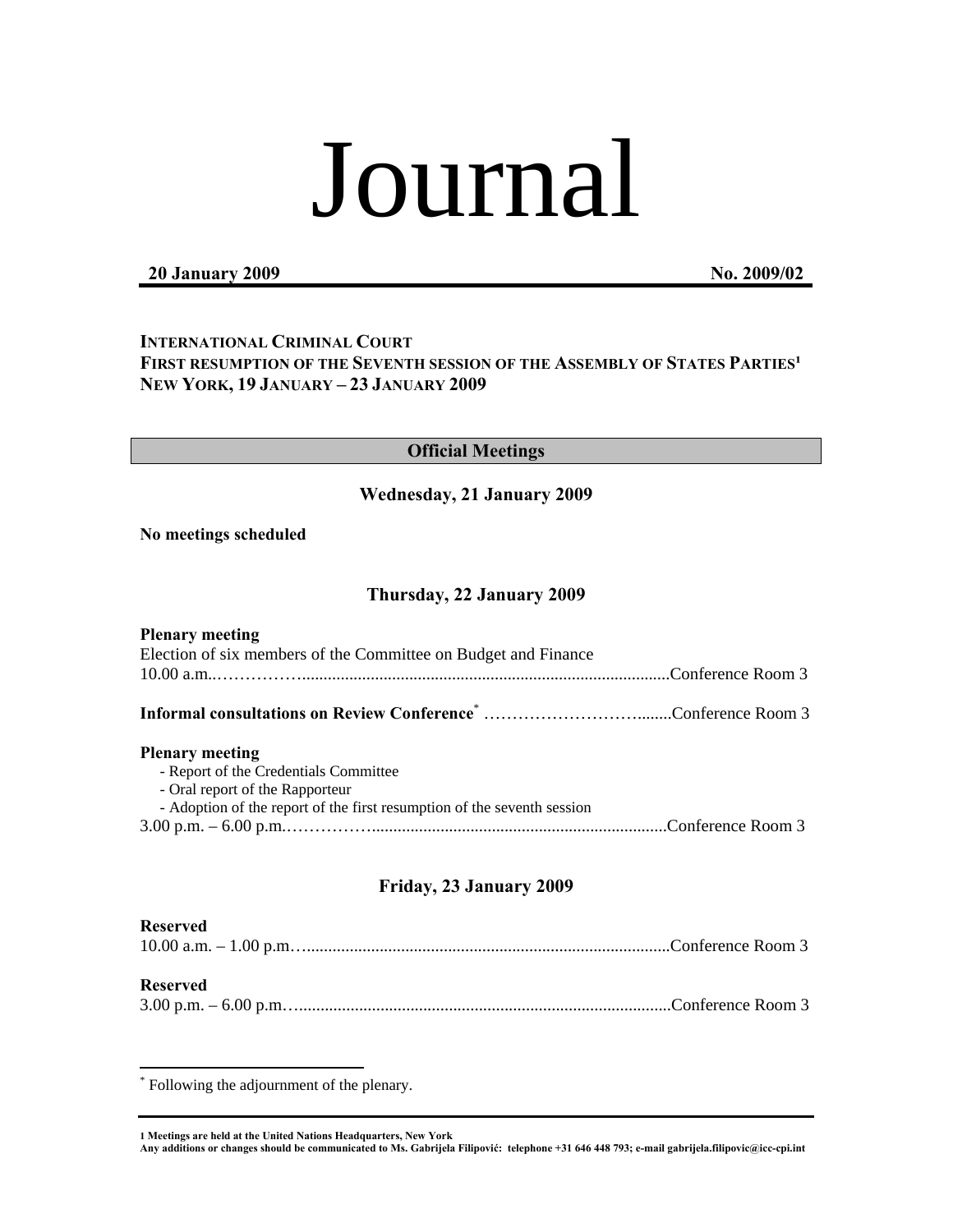# Journal

## **20 January 2009 No. 2009/02**

# **INTERNATIONAL CRIMINAL COURT** FIRST RESUMPTION OF THE SEVENTH SESSION OF THE ASSEMBLY OF STATES PARTIES<sup>1</sup> **NEW YORK, 19 JANUARY – 23 JANUARY 2009**

## **Official Meetings**

## **Wednesday, 21 January 2009**

**No meetings scheduled** 

## **Thursday, 22 January 2009**

| <b>Plenary meeting</b>                                                  |  |
|-------------------------------------------------------------------------|--|
| Election of six members of the Committee on Budget and Finance          |  |
|                                                                         |  |
|                                                                         |  |
| <b>Plenary meeting</b>                                                  |  |
| - Report of the Credentials Committee                                   |  |
| - Oral report of the Rapporteur                                         |  |
| - Adoption of the report of the first resumption of the seventh session |  |
|                                                                         |  |
|                                                                         |  |
|                                                                         |  |

# **Friday, 23 January 2009**

#### **Reserved**

# **Reserved**

 $\overline{a}$ 

|--|--|--|

\* Following the adjournment of the plenary.

**1 Meetings are held at the United Nations Headquarters, New York** 

**Any additions or changes should be communicated to Ms. Gabrijela Filipović: telephone +31 646 448 793; e-mail gabrijela.filipovic@icc-cpi.int**